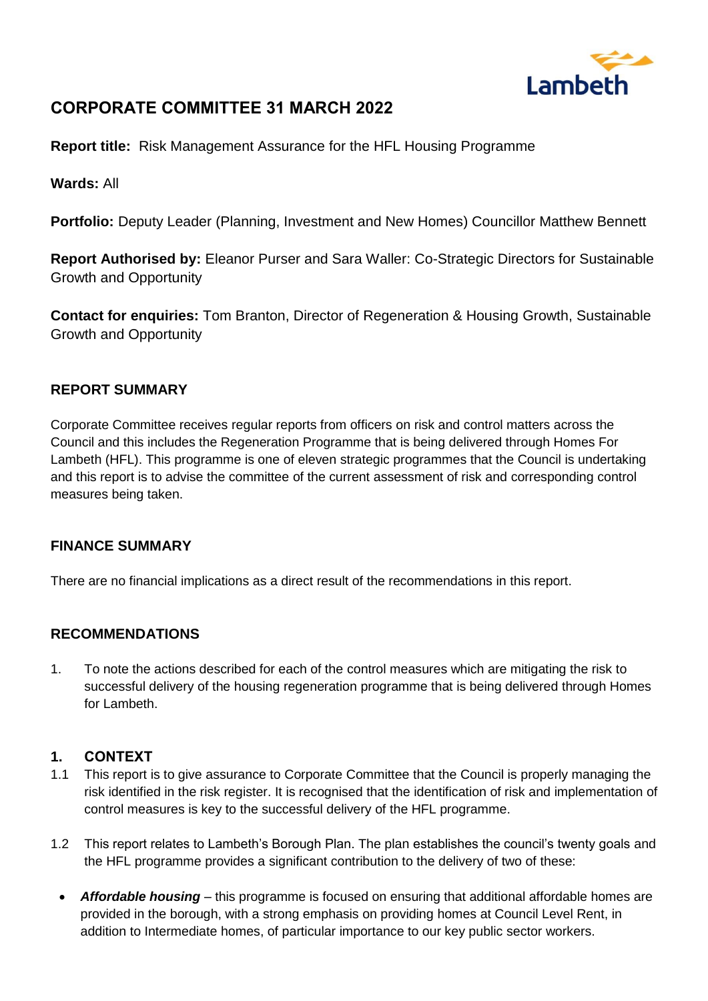

# **CORPORATE COMMITTEE 31 MARCH 2022**

**Report title:** Risk Management Assurance for the HFL Housing Programme

**Wards:** All

**Portfolio:** Deputy Leader (Planning, Investment and New Homes) Councillor Matthew Bennett

**Report Authorised by:** Eleanor Purser and Sara Waller: Co-Strategic Directors for Sustainable Growth and Opportunity

**Contact for enquiries:** Tom Branton, Director of Regeneration & Housing Growth, Sustainable Growth and Opportunity

### **REPORT SUMMARY**

Corporate Committee receives regular reports from officers on risk and control matters across the Council and this includes the Regeneration Programme that is being delivered through Homes For Lambeth (HFL). This programme is one of eleven strategic programmes that the Council is undertaking and this report is to advise the committee of the current assessment of risk and corresponding control measures being taken.

## **FINANCE SUMMARY**

There are no financial implications as a direct result of the recommendations in this report.

### **RECOMMENDATIONS**

1. To note the actions described for each of the control measures which are mitigating the risk to successful delivery of the housing regeneration programme that is being delivered through Homes for Lambeth.

### **1. CONTEXT**

- 1.1 This report is to give assurance to Corporate Committee that the Council is properly managing the risk identified in the risk register. It is recognised that the identification of risk and implementation of control measures is key to the successful delivery of the HFL programme.
- 1.2 This report relates to Lambeth's Borough Plan. The plan establishes the council's twenty goals and the HFL programme provides a significant contribution to the delivery of two of these:
	- *Affordable housing* this programme is focused on ensuring that additional affordable homes are provided in the borough, with a strong emphasis on providing homes at Council Level Rent, in addition to Intermediate homes, of particular importance to our key public sector workers.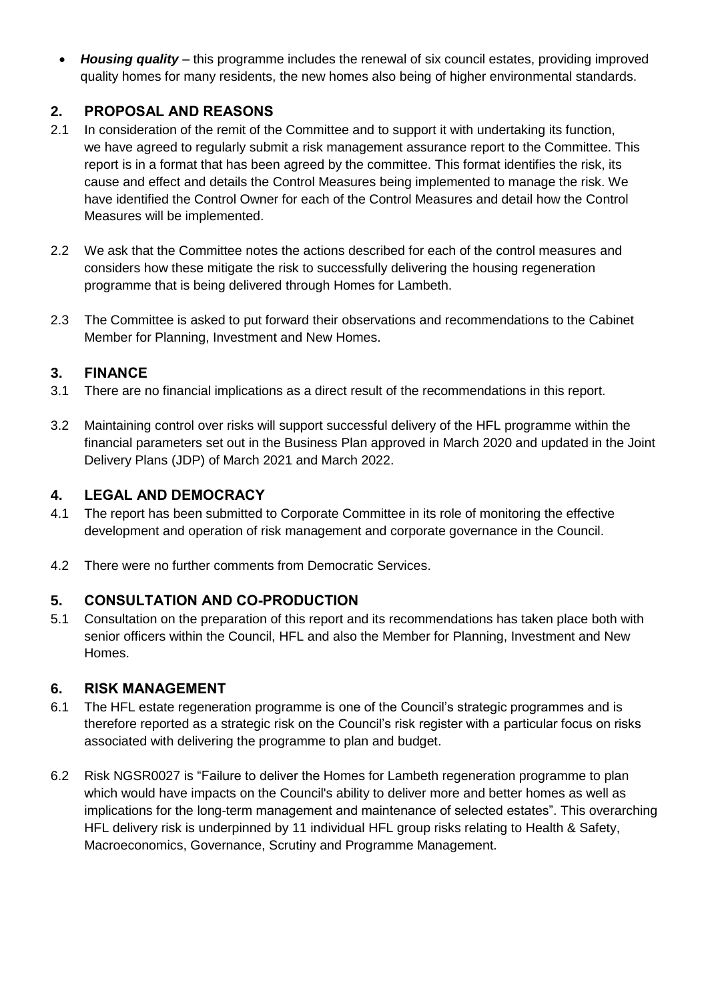*Housing quality* – this programme includes the renewal of six council estates, providing improved quality homes for many residents, the new homes also being of higher environmental standards.

# **2. PROPOSAL AND REASONS**

- 2.1 In consideration of the remit of the Committee and to support it with undertaking its function, we have agreed to regularly submit a risk management assurance report to the Committee. This report is in a format that has been agreed by the committee. This format identifies the risk, its cause and effect and details the Control Measures being implemented to manage the risk. We have identified the Control Owner for each of the Control Measures and detail how the Control Measures will be implemented.
- 2.2 We ask that the Committee notes the actions described for each of the control measures and considers how these mitigate the risk to successfully delivering the housing regeneration programme that is being delivered through Homes for Lambeth.
- 2.3 The Committee is asked to put forward their observations and recommendations to the Cabinet Member for Planning, Investment and New Homes.

# **3. FINANCE**

- 3.1 There are no financial implications as a direct result of the recommendations in this report.
- 3.2 Maintaining control over risks will support successful delivery of the HFL programme within the financial parameters set out in the Business Plan approved in March 2020 and updated in the Joint Delivery Plans (JDP) of March 2021 and March 2022.

# **4. LEGAL AND DEMOCRACY**

- 4.1 The report has been submitted to Corporate Committee in its role of monitoring the effective development and operation of risk management and corporate governance in the Council.
- 4.2 There were no further comments from Democratic Services.

# **5. CONSULTATION AND CO-PRODUCTION**

5.1 Consultation on the preparation of this report and its recommendations has taken place both with senior officers within the Council, HFL and also the Member for Planning, Investment and New Homes.

### **6. RISK MANAGEMENT**

- 6.1 The HFL estate regeneration programme is one of the Council's strategic programmes and is therefore reported as a strategic risk on the Council's risk register with a particular focus on risks associated with delivering the programme to plan and budget.
- 6.2 Risk NGSR0027 is "Failure to deliver the Homes for Lambeth regeneration programme to plan which would have impacts on the Council's ability to deliver more and better homes as well as implications for the long-term management and maintenance of selected estates". This overarching HFL delivery risk is underpinned by 11 individual HFL group risks relating to Health & Safety, Macroeconomics, Governance, Scrutiny and Programme Management.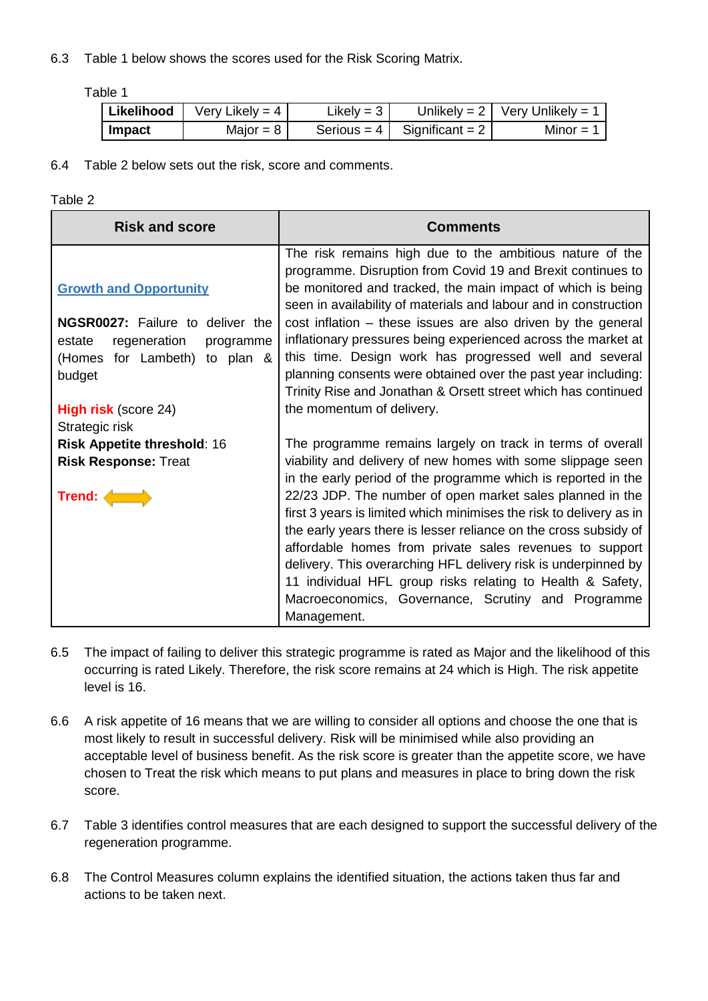6.3 Table 1 below shows the scores used for the Risk Scoring Matrix.

Table 1

|               | <b>Likelihood</b>   Very Likely = 4 | Likely = $3 \mid$ |                                           | Unlikely = $2 \mid$ Very Unlikely = 1 |
|---------------|-------------------------------------|-------------------|-------------------------------------------|---------------------------------------|
| <b>Impact</b> | Major = $8$                         |                   | Serious = $4 \mid$ Significant = $2 \mid$ | Minor $=$                             |

6.4 Table 2 below sets out the risk, score and comments.

#### Table 2

| <b>Risk and score</b>                                                                                              | <b>Comments</b>                                                                                                                                                                                                                                                                                                                                                                                                                                                      |
|--------------------------------------------------------------------------------------------------------------------|----------------------------------------------------------------------------------------------------------------------------------------------------------------------------------------------------------------------------------------------------------------------------------------------------------------------------------------------------------------------------------------------------------------------------------------------------------------------|
| <b>Growth and Opportunity</b>                                                                                      | The risk remains high due to the ambitious nature of the<br>programme. Disruption from Covid 19 and Brexit continues to<br>be monitored and tracked, the main impact of which is being<br>seen in availability of materials and labour and in construction                                                                                                                                                                                                           |
| NGSR0027: Failure to deliver the<br>estate<br>regeneration<br>programme<br>(Homes for Lambeth) to plan &<br>budget | cost inflation – these issues are also driven by the general<br>inflationary pressures being experienced across the market at<br>this time. Design work has progressed well and several<br>planning consents were obtained over the past year including:<br>Trinity Rise and Jonathan & Orsett street which has continued                                                                                                                                            |
| <b>High risk (score 24)</b><br>Strategic risk                                                                      | the momentum of delivery.                                                                                                                                                                                                                                                                                                                                                                                                                                            |
| Risk Appetite threshold: 16<br><b>Risk Response: Treat</b>                                                         | The programme remains largely on track in terms of overall<br>viability and delivery of new homes with some slippage seen<br>in the early period of the programme which is reported in the                                                                                                                                                                                                                                                                           |
| Trend:                                                                                                             | 22/23 JDP. The number of open market sales planned in the<br>first 3 years is limited which minimises the risk to delivery as in<br>the early years there is lesser reliance on the cross subsidy of<br>affordable homes from private sales revenues to support<br>delivery. This overarching HFL delivery risk is underpinned by<br>11 individual HFL group risks relating to Health & Safety,<br>Macroeconomics, Governance, Scrutiny and Programme<br>Management. |

- 6.5 The impact of failing to deliver this strategic programme is rated as Major and the likelihood of this occurring is rated Likely. Therefore, the risk score remains at 24 which is High. The risk appetite level is 16.
- 6.6 A risk appetite of 16 means that we are willing to consider all options and choose the one that is most likely to result in successful delivery. Risk will be minimised while also providing an acceptable level of business benefit. As the risk score is greater than the appetite score, we have chosen to Treat the risk which means to put plans and measures in place to bring down the risk score.
- 6.7 Table 3 identifies control measures that are each designed to support the successful delivery of the regeneration programme.
- 6.8 The Control Measures column explains the identified situation, the actions taken thus far and actions to be taken next.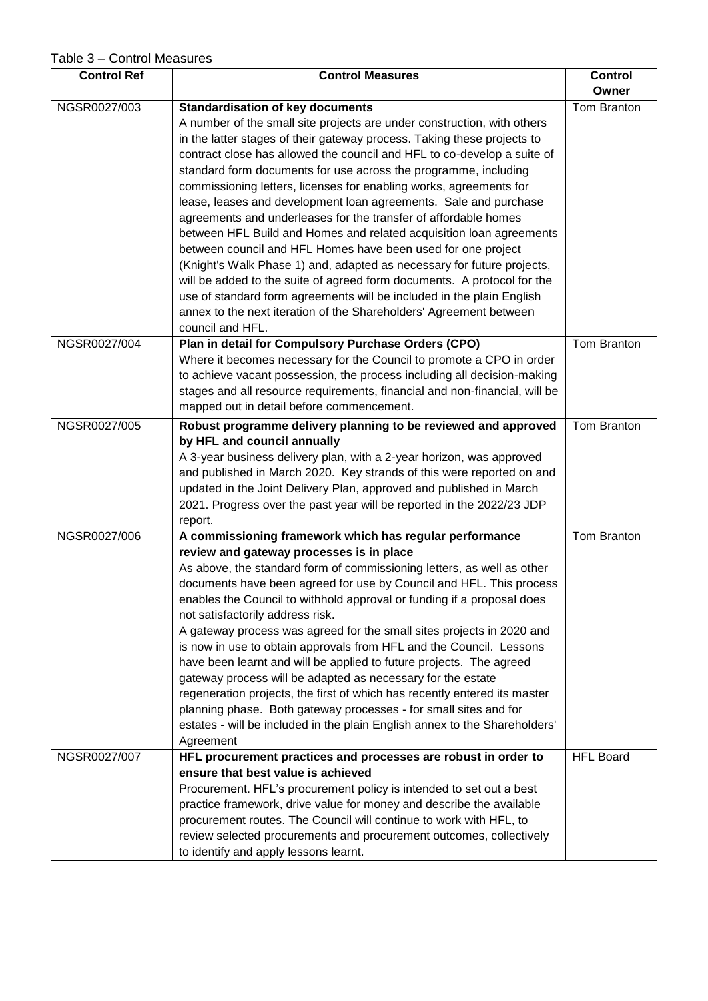#### Table 3 – Control Measures

| <b>Control Ref</b> | <b>Control Measures</b>                                                                                                                            | <b>Control</b>       |
|--------------------|----------------------------------------------------------------------------------------------------------------------------------------------------|----------------------|
|                    | <b>Standardisation of key documents</b>                                                                                                            | Owner<br>Tom Branton |
| NGSR0027/003       |                                                                                                                                                    |                      |
|                    | A number of the small site projects are under construction, with others<br>in the latter stages of their gateway process. Taking these projects to |                      |
|                    | contract close has allowed the council and HFL to co-develop a suite of                                                                            |                      |
|                    | standard form documents for use across the programme, including                                                                                    |                      |
|                    | commissioning letters, licenses for enabling works, agreements for                                                                                 |                      |
|                    | lease, leases and development loan agreements. Sale and purchase                                                                                   |                      |
|                    | agreements and underleases for the transfer of affordable homes                                                                                    |                      |
|                    | between HFL Build and Homes and related acquisition loan agreements                                                                                |                      |
|                    | between council and HFL Homes have been used for one project                                                                                       |                      |
|                    | (Knight's Walk Phase 1) and, adapted as necessary for future projects,                                                                             |                      |
|                    | will be added to the suite of agreed form documents. A protocol for the                                                                            |                      |
|                    | use of standard form agreements will be included in the plain English                                                                              |                      |
|                    | annex to the next iteration of the Shareholders' Agreement between                                                                                 |                      |
|                    | council and HFL.                                                                                                                                   |                      |
| NGSR0027/004       | Plan in detail for Compulsory Purchase Orders (CPO)                                                                                                | Tom Branton          |
|                    | Where it becomes necessary for the Council to promote a CPO in order                                                                               |                      |
|                    | to achieve vacant possession, the process including all decision-making                                                                            |                      |
|                    | stages and all resource requirements, financial and non-financial, will be                                                                         |                      |
|                    | mapped out in detail before commencement.                                                                                                          |                      |
| NGSR0027/005       | Robust programme delivery planning to be reviewed and approved                                                                                     | Tom Branton          |
|                    | by HFL and council annually                                                                                                                        |                      |
|                    | A 3-year business delivery plan, with a 2-year horizon, was approved                                                                               |                      |
|                    | and published in March 2020. Key strands of this were reported on and<br>updated in the Joint Delivery Plan, approved and published in March       |                      |
|                    | 2021. Progress over the past year will be reported in the 2022/23 JDP                                                                              |                      |
|                    | report.                                                                                                                                            |                      |
| NGSR0027/006       | A commissioning framework which has regular performance                                                                                            | Tom Branton          |
|                    | review and gateway processes is in place                                                                                                           |                      |
|                    | As above, the standard form of commissioning letters, as well as other                                                                             |                      |
|                    | documents have been agreed for use by Council and HFL. This process                                                                                |                      |
|                    | enables the Council to withhold approval or funding if a proposal does                                                                             |                      |
|                    | not satisfactorily address risk.                                                                                                                   |                      |
|                    | A gateway process was agreed for the small sites projects in 2020 and                                                                              |                      |
|                    | is now in use to obtain approvals from HFL and the Council. Lessons                                                                                |                      |
|                    | have been learnt and will be applied to future projects. The agreed                                                                                |                      |
|                    | gateway process will be adapted as necessary for the estate                                                                                        |                      |
|                    | regeneration projects, the first of which has recently entered its master                                                                          |                      |
|                    | planning phase. Both gateway processes - for small sites and for<br>estates - will be included in the plain English annex to the Shareholders'     |                      |
|                    | Agreement                                                                                                                                          |                      |
| NGSR0027/007       | HFL procurement practices and processes are robust in order to                                                                                     | <b>HFL Board</b>     |
|                    | ensure that best value is achieved                                                                                                                 |                      |
|                    | Procurement. HFL's procurement policy is intended to set out a best                                                                                |                      |
|                    | practice framework, drive value for money and describe the available                                                                               |                      |
|                    | procurement routes. The Council will continue to work with HFL, to                                                                                 |                      |
|                    | review selected procurements and procurement outcomes, collectively                                                                                |                      |
|                    | to identify and apply lessons learnt.                                                                                                              |                      |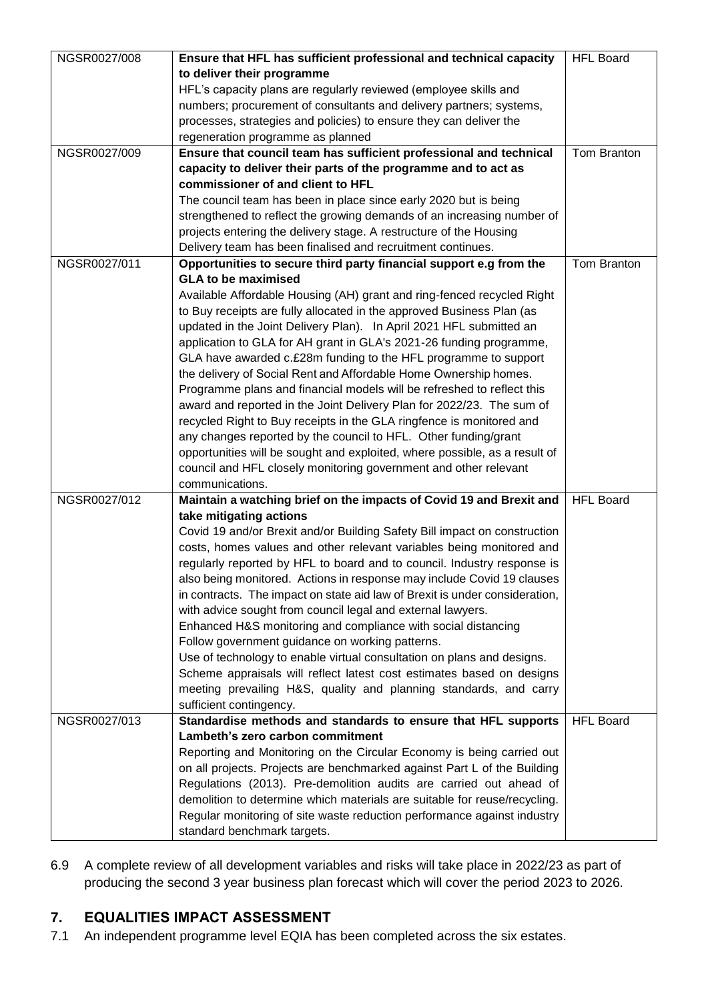| NGSR0027/008 | Ensure that HFL has sufficient professional and technical capacity          | <b>HFL Board</b> |
|--------------|-----------------------------------------------------------------------------|------------------|
|              | to deliver their programme                                                  |                  |
|              | HFL's capacity plans are regularly reviewed (employee skills and            |                  |
|              | numbers; procurement of consultants and delivery partners; systems,         |                  |
|              | processes, strategies and policies) to ensure they can deliver the          |                  |
|              | regeneration programme as planned                                           |                  |
| NGSR0027/009 | Ensure that council team has sufficient professional and technical          | Tom Branton      |
|              | capacity to deliver their parts of the programme and to act as              |                  |
|              | commissioner of and client to HFL                                           |                  |
|              | The council team has been in place since early 2020 but is being            |                  |
|              | strengthened to reflect the growing demands of an increasing number of      |                  |
|              | projects entering the delivery stage. A restructure of the Housing          |                  |
|              | Delivery team has been finalised and recruitment continues.                 |                  |
| NGSR0027/011 | Opportunities to secure third party financial support e.g from the          | Tom Branton      |
|              | <b>GLA to be maximised</b>                                                  |                  |
|              | Available Affordable Housing (AH) grant and ring-fenced recycled Right      |                  |
|              | to Buy receipts are fully allocated in the approved Business Plan (as       |                  |
|              | updated in the Joint Delivery Plan). In April 2021 HFL submitted an         |                  |
|              | application to GLA for AH grant in GLA's 2021-26 funding programme,         |                  |
|              | GLA have awarded c.£28m funding to the HFL programme to support             |                  |
|              | the delivery of Social Rent and Affordable Home Ownership homes.            |                  |
|              | Programme plans and financial models will be refreshed to reflect this      |                  |
|              | award and reported in the Joint Delivery Plan for 2022/23. The sum of       |                  |
|              | recycled Right to Buy receipts in the GLA ringfence is monitored and        |                  |
|              | any changes reported by the council to HFL. Other funding/grant             |                  |
|              | opportunities will be sought and exploited, where possible, as a result of  |                  |
|              | council and HFL closely monitoring government and other relevant            |                  |
|              | communications.                                                             |                  |
| NGSR0027/012 | Maintain a watching brief on the impacts of Covid 19 and Brexit and         | <b>HFL Board</b> |
|              | take mitigating actions                                                     |                  |
|              | Covid 19 and/or Brexit and/or Building Safety Bill impact on construction   |                  |
|              | costs, homes values and other relevant variables being monitored and        |                  |
|              | regularly reported by HFL to board and to council. Industry response is     |                  |
|              | also being monitored. Actions in response may include Covid 19 clauses      |                  |
|              | in contracts. The impact on state aid law of Brexit is under consideration, |                  |
|              | with advice sought from council legal and external lawyers.                 |                  |
|              | Enhanced H&S monitoring and compliance with social distancing               |                  |
|              | Follow government guidance on working patterns.                             |                  |
|              | Use of technology to enable virtual consultation on plans and designs.      |                  |
|              | Scheme appraisals will reflect latest cost estimates based on designs       |                  |
|              | meeting prevailing H&S, quality and planning standards, and carry           |                  |
|              | sufficient contingency.                                                     |                  |
| NGSR0027/013 | Standardise methods and standards to ensure that HFL supports               | <b>HFL Board</b> |
|              | Lambeth's zero carbon commitment                                            |                  |
|              | Reporting and Monitoring on the Circular Economy is being carried out       |                  |
|              | on all projects. Projects are benchmarked against Part L of the Building    |                  |
|              | Regulations (2013). Pre-demolition audits are carried out ahead of          |                  |
|              | demolition to determine which materials are suitable for reuse/recycling.   |                  |
|              | Regular monitoring of site waste reduction performance against industry     |                  |
|              | standard benchmark targets.                                                 |                  |

6.9 A complete review of all development variables and risks will take place in 2022/23 as part of producing the second 3 year business plan forecast which will cover the period 2023 to 2026.

# **7. EQUALITIES IMPACT ASSESSMENT**

7.1 An independent programme level EQIA has been completed across the six estates.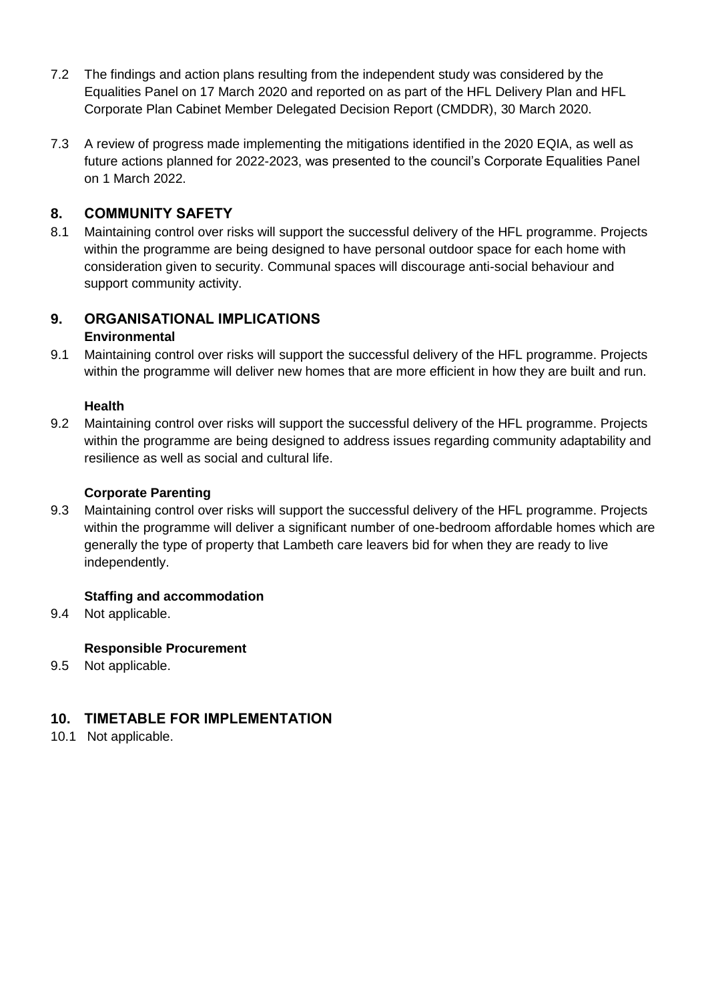- 7.2 The findings and action plans resulting from the independent study was considered by the Equalities Panel on 17 March 2020 and reported on as part of the HFL Delivery Plan and HFL Corporate Plan Cabinet Member Delegated Decision Report (CMDDR), 30 March 2020.
- 7.3 A review of progress made implementing the mitigations identified in the 2020 EQIA, as well as future actions planned for 2022-2023, was presented to the council's Corporate Equalities Panel on 1 March 2022.

# **8. COMMUNITY SAFETY**

8.1 Maintaining control over risks will support the successful delivery of the HFL programme. Projects within the programme are being designed to have personal outdoor space for each home with consideration given to security. Communal spaces will discourage anti-social behaviour and support community activity.

## **9. ORGANISATIONAL IMPLICATIONS Environmental**

9.1 Maintaining control over risks will support the successful delivery of the HFL programme. Projects within the programme will deliver new homes that are more efficient in how they are built and run.

## **Health**

9.2 Maintaining control over risks will support the successful delivery of the HFL programme. Projects within the programme are being designed to address issues regarding community adaptability and resilience as well as social and cultural life.

# **Corporate Parenting**

9.3 Maintaining control over risks will support the successful delivery of the HFL programme. Projects within the programme will deliver a significant number of one-bedroom affordable homes which are generally the type of property that Lambeth care leavers bid for when they are ready to live independently.

### **Staffing and accommodation**

9.4 Not applicable.

### **Responsible Procurement**

9.5 Not applicable.

# **10. TIMETABLE FOR IMPLEMENTATION**

10.1 Not applicable.